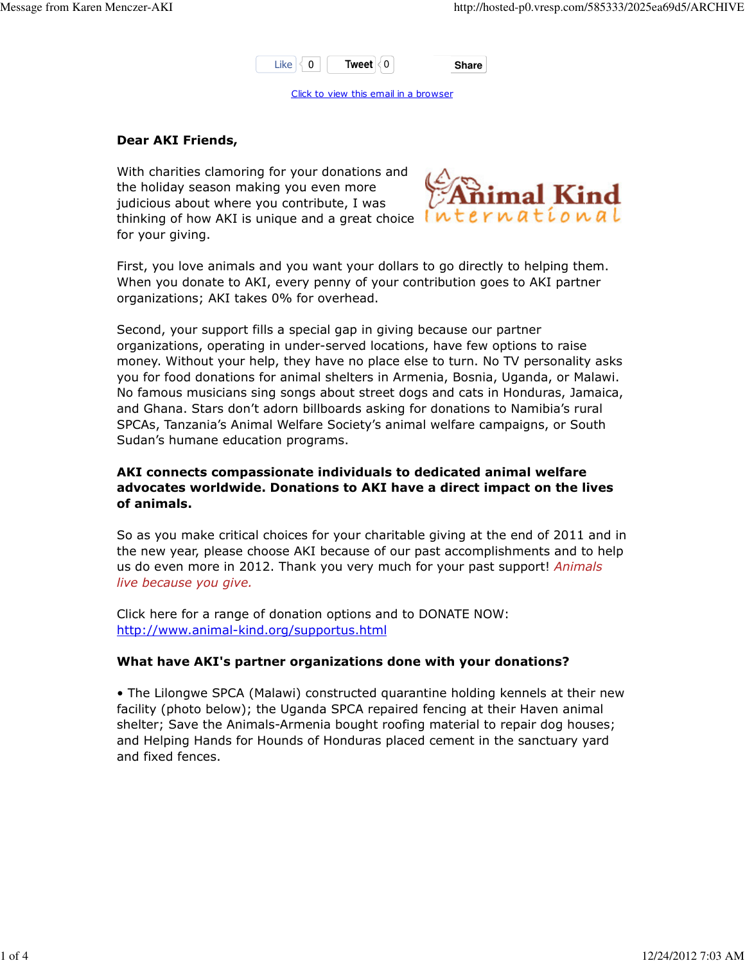

Click to view this email in a browser

## Dear AKI Friends,

With charities clamoring for your donations and the holiday season making you even more judicious about where you contribute, I was thinking of how AKI is unique and a great choice  $int$  $int$  $int$  $F$  $n$  $d$  $t$  $i$  $o$  $n$  $d$  $l$ for your giving.



First, you love animals and you want your dollars to go directly to helping them. When you donate to AKI, every penny of your contribution goes to AKI partner organizations; AKI takes 0% for overhead.

Second, your support fills a special gap in giving because our partner organizations, operating in under-served locations, have few options to raise money. Without your help, they have no place else to turn. No TV personality asks you for food donations for animal shelters in Armenia, Bosnia, Uganda, or Malawi. No famous musicians sing songs about street dogs and cats in Honduras, Jamaica, and Ghana. Stars don't adorn billboards asking for donations to Namibia's rural SPCAs, Tanzania's Animal Welfare Society's animal welfare campaigns, or South Sudan's humane education programs.

# AKI connects compassionate individuals to dedicated animal welfare advocates worldwide. Donations to AKI have a direct impact on the lives of animals.

So as you make critical choices for your charitable giving at the end of 2011 and in the new year, please choose AKI because of our past accomplishments and to help us do even more in 2012. Thank you very much for your past support! Animals live because you give.

Click here for a range of donation options and to DONATE NOW: http://www.animal-kind.org/supportus.html

## What have AKI's partner organizations done with your donations?

• The Lilongwe SPCA (Malawi) constructed quarantine holding kennels at their new facility (photo below); the Uganda SPCA repaired fencing at their Haven animal shelter; Save the Animals-Armenia bought roofing material to repair dog houses; and Helping Hands for Hounds of Honduras placed cement in the sanctuary yard and fixed fences.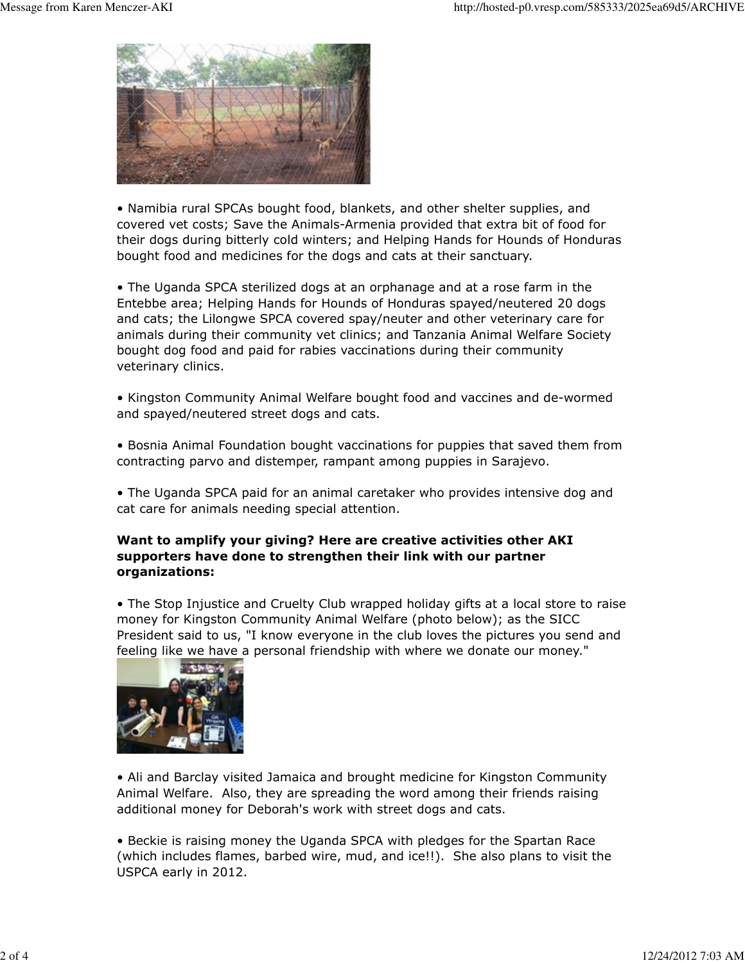

• Namibia rural SPCAs bought food, blankets, and other shelter supplies, and covered vet costs; Save the Animals-Armenia provided that extra bit of food for their dogs during bitterly cold winters; and Helping Hands for Hounds of Honduras bought food and medicines for the dogs and cats at their sanctuary.

• The Uganda SPCA sterilized dogs at an orphanage and at a rose farm in the Entebbe area; Helping Hands for Hounds of Honduras spayed/neutered 20 dogs and cats; the Lilongwe SPCA covered spay/neuter and other veterinary care for animals during their community vet clinics; and Tanzania Animal Welfare Society bought dog food and paid for rabies vaccinations during their community veterinary clinics.

• Kingston Community Animal Welfare bought food and vaccines and de-wormed and spayed/neutered street dogs and cats.

• Bosnia Animal Foundation bought vaccinations for puppies that saved them from contracting parvo and distemper, rampant among puppies in Sarajevo.

• The Uganda SPCA paid for an animal caretaker who provides intensive dog and cat care for animals needing special attention.

## Want to amplify your giving? Here are creative activities other AKI supporters have done to strengthen their link with our partner organizations:

• The Stop Injustice and Cruelty Club wrapped holiday gifts at a local store to raise money for Kingston Community Animal Welfare (photo below); as the SICC President said to us, "I know everyone in the club loves the pictures you send and feeling like we have a personal friendship with where we donate our money."



• Ali and Barclay visited Jamaica and brought medicine for Kingston Community Animal Welfare. Also, they are spreading the word among their friends raising additional money for Deborah's work with street dogs and cats.

• Beckie is raising money the Uganda SPCA with pledges for the Spartan Race (which includes flames, barbed wire, mud, and ice!!). She also plans to visit the USPCA early in 2012.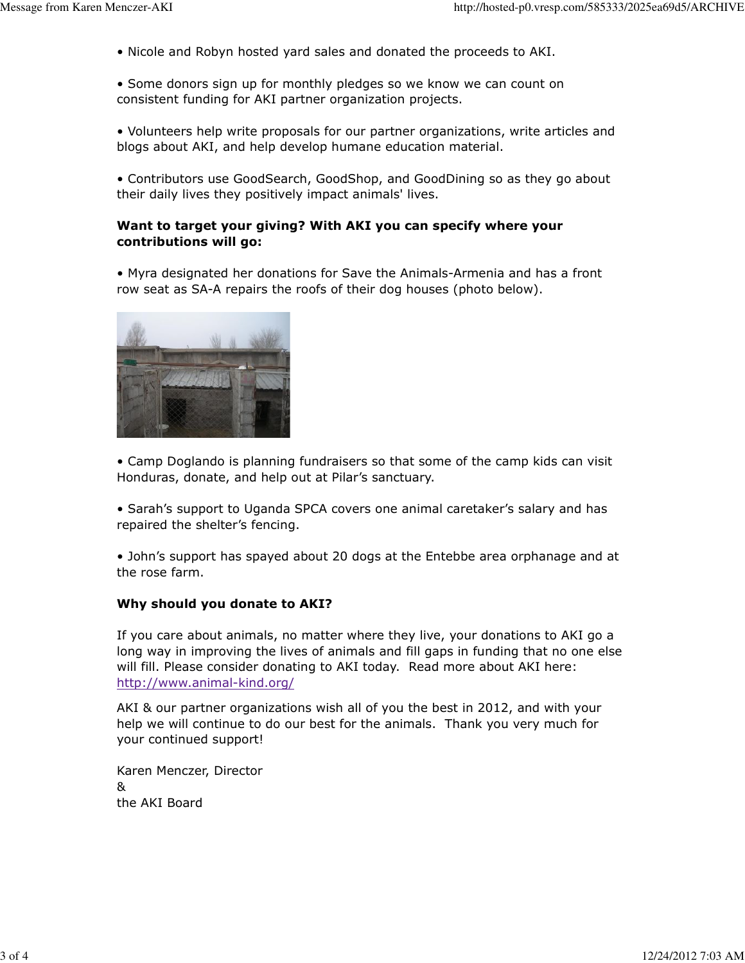• Nicole and Robyn hosted yard sales and donated the proceeds to AKI.

• Some donors sign up for monthly pledges so we know we can count on consistent funding for AKI partner organization projects.

• Volunteers help write proposals for our partner organizations, write articles and blogs about AKI, and help develop humane education material.

• Contributors use GoodSearch, GoodShop, and GoodDining so as they go about their daily lives they positively impact animals' lives.

### Want to target your giving? With AKI you can specify where your contributions will go:

• Myra designated her donations for Save the Animals-Armenia and has a front row seat as SA-A repairs the roofs of their dog houses (photo below).



• Camp Doglando is planning fundraisers so that some of the camp kids can visit Honduras, donate, and help out at Pilar's sanctuary.

• Sarah's support to Uganda SPCA covers one animal caretaker's salary and has repaired the shelter's fencing.

• John's support has spayed about 20 dogs at the Entebbe area orphanage and at the rose farm.

## Why should you donate to AKI?

If you care about animals, no matter where they live, your donations to AKI go a long way in improving the lives of animals and fill gaps in funding that no one else will fill. Please consider donating to AKI today. Read more about AKI here: http://www.animal-kind.org/

AKI & our partner organizations wish all of you the best in 2012, and with your help we will continue to do our best for the animals. Thank you very much for your continued support!

Karen Menczer, Director & the AKI Board